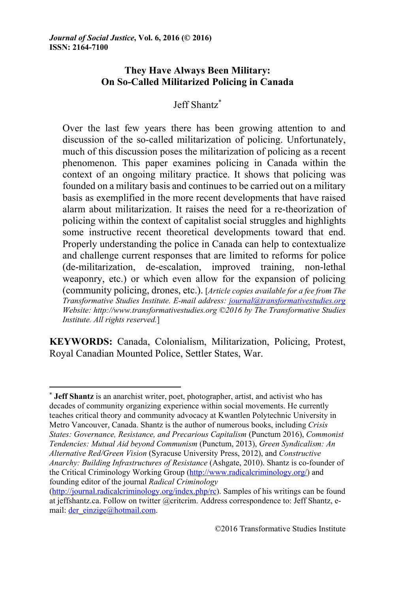# **They Have Always Been Military: On So-Called Militarized Policing in Canada**

# Jeff Shantz\*

Over the last few years there has been growing attention to and discussion of the so-called militarization of policing. Unfortunately, much of this discussion poses the militarization of policing as a recent phenomenon. This paper examines policing in Canada within the context of an ongoing military practice. It shows that policing was founded on a military basis and continues to be carried out on a military basis as exemplified in the more recent developments that have raised alarm about militarization. It raises the need for a re-theorization of policing within the context of capitalist social struggles and highlights some instructive recent theoretical developments toward that end. Properly understanding the police in Canada can help to contextualize and challenge current responses that are limited to reforms for police (de-militarization, de-escalation, improved training, non-lethal weaponry, etc.) or which even allow for the expansion of policing (community policing, drones, etc.). [*Article copies available for a fee from The Transformative Studies Institute. E-mail address: journal@transformativestudies.org Website: http://www.transformativestudies.org ©2016 by The Transformative Studies Institute. All rights reserved.*]

**KEYWORDS:** Canada, Colonialism, Militarization, Policing, Protest, Royal Canadian Mounted Police, Settler States, War.

<sup>\*</sup> **Jeff Shantz** is an anarchist writer, poet, photographer, artist, and activist who has decades of community organizing experience within social movements. He currently teaches critical theory and community advocacy at Kwantlen Polytechnic University in Metro Vancouver, Canada. Shantz is the author of numerous books, including *Crisis States: Governance, Resistance, and Precarious Capitalism* (Punctum 2016), *Commonist Tendencies: Mutual Aid beyond Communism* (Punctum, 2013), *Green Syndicalism: An Alternative Red/Green Vision* (Syracuse University Press, 2012), and *Constructive Anarchy: Building Infrastructures of Resistance* (Ashgate, 2010). Shantz is co-founder of the Critical Criminology Working Group (http://www.radicalcriminology.org/) and founding editor of the journal *Radical Criminology*

<sup>(</sup>http://journal.radicalcriminology.org/index.php/rc). Samples of his writings can be found at jeffshantz.ca. Follow on twitter @critcrim. Address correspondence to: Jeff Shantz, email: der\_einzige@hotmail.com.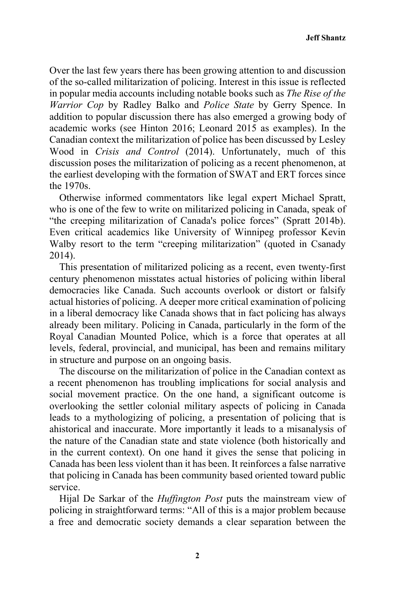Over the last few years there has been growing attention to and discussion of the so-called militarization of policing. Interest in this issue is reflected in popular media accounts including notable books such as *The Rise of the Warrior Cop* by Radley Balko and *Police State* by Gerry Spence. In addition to popular discussion there has also emerged a growing body of academic works (see Hinton 2016; Leonard 2015 as examples). In the Canadian context the militarization of police has been discussed by Lesley Wood in *Crisis and Control* (2014). Unfortunately, much of this discussion poses the militarization of policing as a recent phenomenon, at the earliest developing with the formation of SWAT and ERT forces since the 1970s.

Otherwise informed commentators like legal expert Michael Spratt, who is one of the few to write on militarized policing in Canada, speak of "the creeping militarization of Canada's police forces" (Spratt 2014b). Even critical academics like University of Winnipeg professor Kevin Walby resort to the term "creeping militarization" (quoted in Csanady 2014).

This presentation of militarized policing as a recent, even twenty-first century phenomenon misstates actual histories of policing within liberal democracies like Canada. Such accounts overlook or distort or falsify actual histories of policing. A deeper more critical examination of policing in a liberal democracy like Canada shows that in fact policing has always already been military. Policing in Canada, particularly in the form of the Royal Canadian Mounted Police, which is a force that operates at all levels, federal, provincial, and municipal, has been and remains military in structure and purpose on an ongoing basis.

The discourse on the militarization of police in the Canadian context as a recent phenomenon has troubling implications for social analysis and social movement practice. On the one hand, a significant outcome is overlooking the settler colonial military aspects of policing in Canada leads to a mythologizing of policing, a presentation of policing that is ahistorical and inaccurate. More importantly it leads to a misanalysis of the nature of the Canadian state and state violence (both historically and in the current context). On one hand it gives the sense that policing in Canada has been less violent than it has been. It reinforces a false narrative that policing in Canada has been community based oriented toward public service.

Hijal De Sarkar of the *Huffington Post* puts the mainstream view of policing in straightforward terms: "All of this is a major problem because a free and democratic society demands a clear separation between the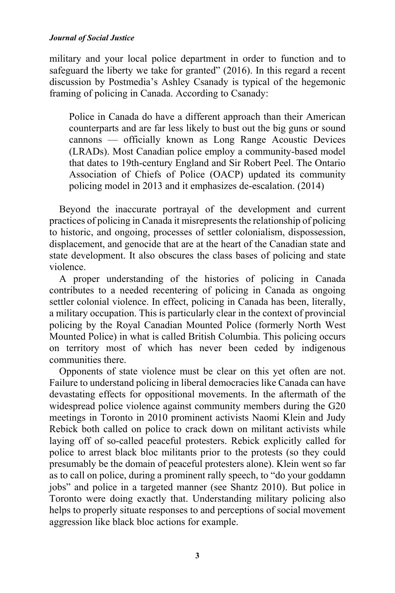military and your local police department in order to function and to safeguard the liberty we take for granted" (2016). In this regard a recent discussion by Postmedia's Ashley Csanady is typical of the hegemonic framing of policing in Canada. According to Csanady:

Police in Canada do have a different approach than their American counterparts and are far less likely to bust out the big guns or sound cannons — officially known as Long Range Acoustic Devices (LRADs). Most Canadian police employ a community-based model that dates to 19th-century England and Sir Robert Peel. The Ontario Association of Chiefs of Police (OACP) updated its community policing model in 2013 and it emphasizes de-escalation. (2014)

Beyond the inaccurate portrayal of the development and current practices of policing in Canada it misrepresents the relationship of policing to historic, and ongoing, processes of settler colonialism, dispossession, displacement, and genocide that are at the heart of the Canadian state and state development. It also obscures the class bases of policing and state violence.

A proper understanding of the histories of policing in Canada contributes to a needed recentering of policing in Canada as ongoing settler colonial violence. In effect, policing in Canada has been, literally, a military occupation. This is particularly clear in the context of provincial policing by the Royal Canadian Mounted Police (formerly North West Mounted Police) in what is called British Columbia. This policing occurs on territory most of which has never been ceded by indigenous communities there.

Opponents of state violence must be clear on this yet often are not. Failure to understand policing in liberal democracies like Canada can have devastating effects for oppositional movements. In the aftermath of the widespread police violence against community members during the G20 meetings in Toronto in 2010 prominent activists Naomi Klein and Judy Rebick both called on police to crack down on militant activists while laying off of so-called peaceful protesters. Rebick explicitly called for police to arrest black bloc militants prior to the protests (so they could presumably be the domain of peaceful protesters alone). Klein went so far as to call on police, during a prominent rally speech, to "do your goddamn jobs" and police in a targeted manner (see Shantz 2010). But police in Toronto were doing exactly that. Understanding military policing also helps to properly situate responses to and perceptions of social movement aggression like black bloc actions for example.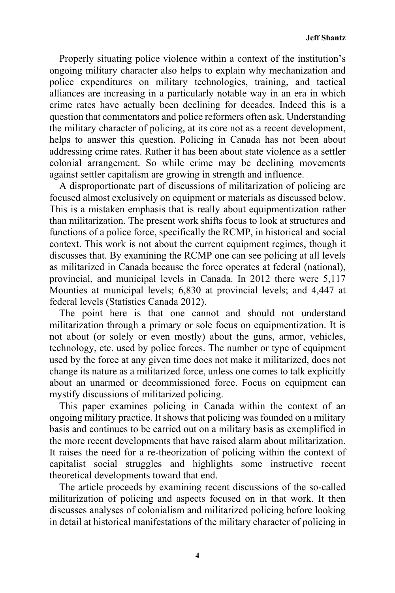Properly situating police violence within a context of the institution's ongoing military character also helps to explain why mechanization and police expenditures on military technologies, training, and tactical alliances are increasing in a particularly notable way in an era in which crime rates have actually been declining for decades. Indeed this is a question that commentators and police reformers often ask. Understanding the military character of policing, at its core not as a recent development, helps to answer this question. Policing in Canada has not been about addressing crime rates. Rather it has been about state violence as a settler colonial arrangement. So while crime may be declining movements against settler capitalism are growing in strength and influence.

A disproportionate part of discussions of militarization of policing are focused almost exclusively on equipment or materials as discussed below. This is a mistaken emphasis that is really about equipmentization rather than militarization. The present work shifts focus to look at structures and functions of a police force, specifically the RCMP, in historical and social context. This work is not about the current equipment regimes, though it discusses that. By examining the RCMP one can see policing at all levels as militarized in Canada because the force operates at federal (national), provincial, and municipal levels in Canada. In 2012 there were 5,117 Mounties at municipal levels; 6,830 at provincial levels; and 4,447 at federal levels (Statistics Canada 2012).

The point here is that one cannot and should not understand militarization through a primary or sole focus on equipmentization. It is not about (or solely or even mostly) about the guns, armor, vehicles, technology, etc. used by police forces. The number or type of equipment used by the force at any given time does not make it militarized, does not change its nature as a militarized force, unless one comes to talk explicitly about an unarmed or decommissioned force. Focus on equipment can mystify discussions of militarized policing.

This paper examines policing in Canada within the context of an ongoing military practice. It shows that policing was founded on a military basis and continues to be carried out on a military basis as exemplified in the more recent developments that have raised alarm about militarization. It raises the need for a re-theorization of policing within the context of capitalist social struggles and highlights some instructive recent theoretical developments toward that end.

The article proceeds by examining recent discussions of the so-called militarization of policing and aspects focused on in that work. It then discusses analyses of colonialism and militarized policing before looking in detail at historical manifestations of the military character of policing in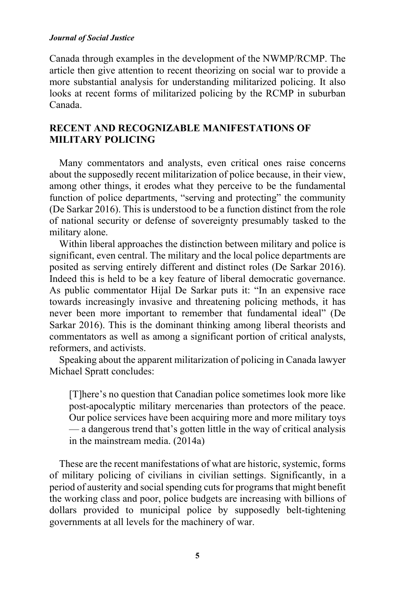Canada through examples in the development of the NWMP/RCMP. The article then give attention to recent theorizing on social war to provide a more substantial analysis for understanding militarized policing. It also looks at recent forms of militarized policing by the RCMP in suburban Canada.

## **RECENT AND RECOGNIZABLE MANIFESTATIONS OF MILITARY POLICING**

Many commentators and analysts, even critical ones raise concerns about the supposedly recent militarization of police because, in their view, among other things, it erodes what they perceive to be the fundamental function of police departments, "serving and protecting" the community (De Sarkar 2016). This is understood to be a function distinct from the role of national security or defense of sovereignty presumably tasked to the military alone.

Within liberal approaches the distinction between military and police is significant, even central. The military and the local police departments are posited as serving entirely different and distinct roles (De Sarkar 2016). Indeed this is held to be a key feature of liberal democratic governance. As public commentator Hijal De Sarkar puts it: "In an expensive race towards increasingly invasive and threatening policing methods, it has never been more important to remember that fundamental ideal" (De Sarkar 2016). This is the dominant thinking among liberal theorists and commentators as well as among a significant portion of critical analysts, reformers, and activists.

Speaking about the apparent militarization of policing in Canada lawyer Michael Spratt concludes:

[T]here's no question that Canadian police sometimes look more like post-apocalyptic military mercenaries than protectors of the peace. Our police services have been acquiring more and more military toys — a dangerous trend that's gotten little in the way of critical analysis in the mainstream media. (2014a)

These are the recent manifestations of what are historic, systemic, forms of military policing of civilians in civilian settings. Significantly, in a period of austerity and social spending cuts for programs that might benefit the working class and poor, police budgets are increasing with billions of dollars provided to municipal police by supposedly belt-tightening governments at all levels for the machinery of war.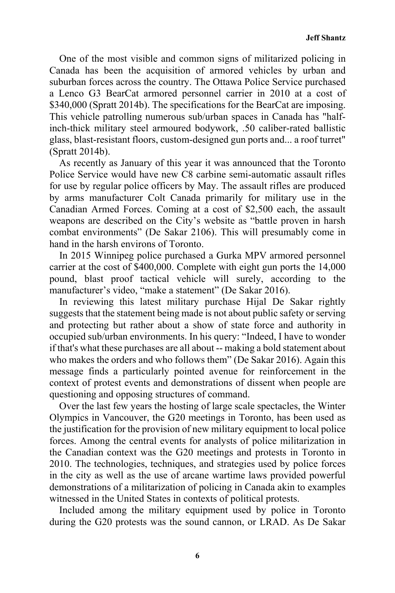One of the most visible and common signs of militarized policing in Canada has been the acquisition of armored vehicles by urban and suburban forces across the country. The Ottawa Police Service purchased a Lenco G3 BearCat armored personnel carrier in 2010 at a cost of \$340,000 (Spratt 2014b). The specifications for the BearCat are imposing. This vehicle patrolling numerous sub/urban spaces in Canada has "halfinch-thick military steel armoured bodywork, .50 caliber-rated ballistic glass, blast-resistant floors, custom-designed gun ports and... a roof turret" (Spratt 2014b).

As recently as January of this year it was announced that the Toronto Police Service would have new C8 carbine semi-automatic assault rifles for use by regular police officers by May. The assault rifles are produced by arms manufacturer Colt Canada primarily for military use in the Canadian Armed Forces. Coming at a cost of \$2,500 each, the assault weapons are described on the City's website as "battle proven in harsh combat environments" (De Sakar 2106). This will presumably come in hand in the harsh environs of Toronto.

In 2015 Winnipeg police purchased a Gurka MPV armored personnel carrier at the cost of \$400,000. Complete with eight gun ports the 14,000 pound, blast proof tactical vehicle will surely, according to the manufacturer's video, "make a statement" (De Sakar 2016).

In reviewing this latest military purchase Hijal De Sakar rightly suggests that the statement being made is not about public safety or serving and protecting but rather about a show of state force and authority in occupied sub/urban environments. In his query: "Indeed, I have to wonder if that's what these purchases are all about -- making a bold statement about who makes the orders and who follows them" (De Sakar 2016). Again this message finds a particularly pointed avenue for reinforcement in the context of protest events and demonstrations of dissent when people are questioning and opposing structures of command.

Over the last few years the hosting of large scale spectacles, the Winter Olympics in Vancouver, the G20 meetings in Toronto, has been used as the justification for the provision of new military equipment to local police forces. Among the central events for analysts of police militarization in the Canadian context was the G20 meetings and protests in Toronto in 2010. The technologies, techniques, and strategies used by police forces in the city as well as the use of arcane wartime laws provided powerful demonstrations of a militarization of policing in Canada akin to examples witnessed in the United States in contexts of political protests.

Included among the military equipment used by police in Toronto during the G20 protests was the sound cannon, or LRAD. As De Sakar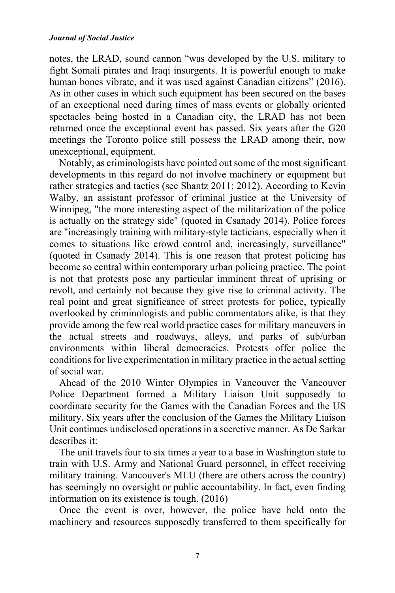notes, the LRAD, sound cannon "was developed by the U.S. military to fight Somali pirates and Iraqi insurgents. It is powerful enough to make human bones vibrate, and it was used against Canadian citizens" (2016). As in other cases in which such equipment has been secured on the bases of an exceptional need during times of mass events or globally oriented spectacles being hosted in a Canadian city, the LRAD has not been returned once the exceptional event has passed. Six years after the G20 meetings the Toronto police still possess the LRAD among their, now unexceptional, equipment.

Notably, as criminologists have pointed out some of the most significant developments in this regard do not involve machinery or equipment but rather strategies and tactics (see Shantz 2011; 2012). According to Kevin Walby, an assistant professor of criminal justice at the University of Winnipeg, "the more interesting aspect of the militarization of the police is actually on the strategy side" (quoted in Csanady 2014). Police forces are "increasingly training with military-style tacticians, especially when it comes to situations like crowd control and, increasingly, surveillance" (quoted in Csanady 2014). This is one reason that protest policing has become so central within contemporary urban policing practice. The point is not that protests pose any particular imminent threat of uprising or revolt, and certainly not because they give rise to criminal activity. The real point and great significance of street protests for police, typically overlooked by criminologists and public commentators alike, is that they provide among the few real world practice cases for military maneuvers in the actual streets and roadways, alleys, and parks of sub/urban environments within liberal democracies. Protests offer police the conditions for live experimentation in military practice in the actual setting of social war.

Ahead of the 2010 Winter Olympics in Vancouver the Vancouver Police Department formed a Military Liaison Unit supposedly to coordinate security for the Games with the Canadian Forces and the US military. Six years after the conclusion of the Games the Military Liaison Unit continues undisclosed operations in a secretive manner. As De Sarkar describes it:

The unit travels four to six times a year to a base in Washington state to train with U.S. Army and National Guard personnel, in effect receiving military training. Vancouver's MLU (there are others across the country) has seemingly no oversight or public accountability. In fact, even finding information on its existence is tough. (2016)

Once the event is over, however, the police have held onto the machinery and resources supposedly transferred to them specifically for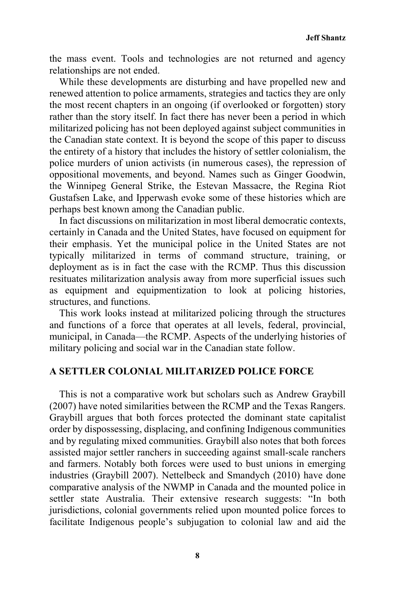the mass event. Tools and technologies are not returned and agency relationships are not ended.

While these developments are disturbing and have propelled new and renewed attention to police armaments, strategies and tactics they are only the most recent chapters in an ongoing (if overlooked or forgotten) story rather than the story itself. In fact there has never been a period in which militarized policing has not been deployed against subject communities in the Canadian state context. It is beyond the scope of this paper to discuss the entirety of a history that includes the history of settler colonialism, the police murders of union activists (in numerous cases), the repression of oppositional movements, and beyond. Names such as Ginger Goodwin, the Winnipeg General Strike, the Estevan Massacre, the Regina Riot Gustafsen Lake, and Ipperwash evoke some of these histories which are perhaps best known among the Canadian public.

In fact discussions on militarization in most liberal democratic contexts, certainly in Canada and the United States, have focused on equipment for their emphasis. Yet the municipal police in the United States are not typically militarized in terms of command structure, training, or deployment as is in fact the case with the RCMP. Thus this discussion resituates militarization analysis away from more superficial issues such as equipment and equipmentization to look at policing histories, structures, and functions.

This work looks instead at militarized policing through the structures and functions of a force that operates at all levels, federal, provincial, municipal, in Canada—the RCMP. Aspects of the underlying histories of military policing and social war in the Canadian state follow.

### **A SETTLER COLONIAL MILITARIZED POLICE FORCE**

This is not a comparative work but scholars such as Andrew Graybill (2007) have noted similarities between the RCMP and the Texas Rangers. Graybill argues that both forces protected the dominant state capitalist order by dispossessing, displacing, and confining Indigenous communities and by regulating mixed communities. Graybill also notes that both forces assisted major settler ranchers in succeeding against small-scale ranchers and farmers. Notably both forces were used to bust unions in emerging industries (Graybill 2007). Nettelbeck and Smandych (2010) have done comparative analysis of the NWMP in Canada and the mounted police in settler state Australia. Their extensive research suggests: "In both jurisdictions, colonial governments relied upon mounted police forces to facilitate Indigenous people's subjugation to colonial law and aid the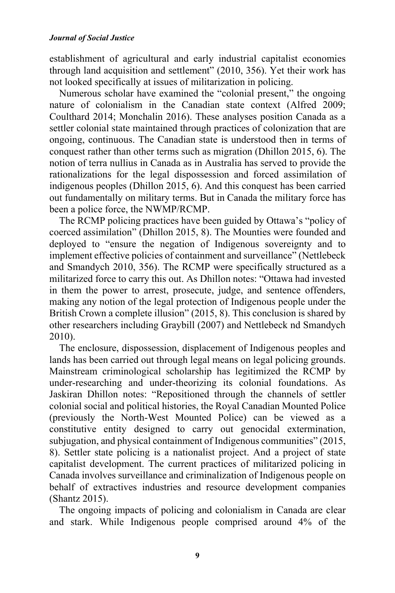establishment of agricultural and early industrial capitalist economies through land acquisition and settlement" (2010, 356). Yet their work has not looked specifically at issues of militarization in policing.

Numerous scholar have examined the "colonial present," the ongoing nature of colonialism in the Canadian state context (Alfred 2009; Coulthard 2014; Monchalin 2016). These analyses position Canada as a settler colonial state maintained through practices of colonization that are ongoing, continuous. The Canadian state is understood then in terms of conquest rather than other terms such as migration (Dhillon 2015, 6). The notion of terra nullius in Canada as in Australia has served to provide the rationalizations for the legal dispossession and forced assimilation of indigenous peoples (Dhillon 2015, 6). And this conquest has been carried out fundamentally on military terms. But in Canada the military force has been a police force, the NWMP/RCMP.

The RCMP policing practices have been guided by Ottawa's "policy of coerced assimilation" (Dhillon 2015, 8). The Mounties were founded and deployed to "ensure the negation of Indigenous sovereignty and to implement effective policies of containment and surveillance" (Nettlebeck and Smandych 2010, 356). The RCMP were specifically structured as a militarized force to carry this out. As Dhillon notes: "Ottawa had invested in them the power to arrest, prosecute, judge, and sentence offenders, making any notion of the legal protection of Indigenous people under the British Crown a complete illusion" (2015, 8). This conclusion is shared by other researchers including Graybill (2007) and Nettlebeck nd Smandych 2010).

The enclosure, dispossession, displacement of Indigenous peoples and lands has been carried out through legal means on legal policing grounds. Mainstream criminological scholarship has legitimized the RCMP by under-researching and under-theorizing its colonial foundations. As Jaskiran Dhillon notes: "Repositioned through the channels of settler colonial social and political histories, the Royal Canadian Mounted Police (previously the North-West Mounted Police) can be viewed as a constitutive entity designed to carry out genocidal extermination, subjugation, and physical containment of Indigenous communities" (2015, 8). Settler state policing is a nationalist project. And a project of state capitalist development. The current practices of militarized policing in Canada involves surveillance and criminalization of Indigenous people on behalf of extractives industries and resource development companies (Shantz 2015).

The ongoing impacts of policing and colonialism in Canada are clear and stark. While Indigenous people comprised around 4% of the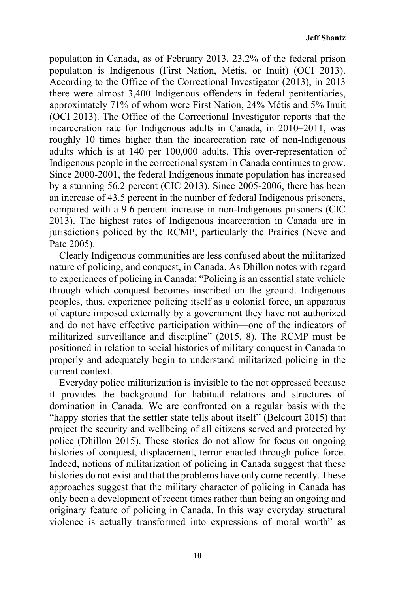population in Canada, as of February 2013, 23.2% of the federal prison population is Indigenous (First Nation, Métis, or Inuit) (OCI 2013). According to the Office of the Correctional Investigator (2013), in 2013 there were almost 3,400 Indigenous offenders in federal penitentiaries, approximately 71% of whom were First Nation, 24% Métis and 5% Inuit (OCI 2013). The Office of the Correctional Investigator reports that the incarceration rate for Indigenous adults in Canada, in 2010–2011, was roughly 10 times higher than the incarceration rate of non-Indigenous adults which is at 140 per 100,000 adults. This over-representation of Indigenous people in the correctional system in Canada continues to grow. Since 2000-2001, the federal Indigenous inmate population has increased by a stunning 56.2 percent (CIC 2013). Since 2005-2006, there has been an increase of 43.5 percent in the number of federal Indigenous prisoners, compared with a 9.6 percent increase in non-Indigenous prisoners (CIC 2013). The highest rates of Indigenous incarceration in Canada are in jurisdictions policed by the RCMP, particularly the Prairies (Neve and Pate 2005).

Clearly Indigenous communities are less confused about the militarized nature of policing, and conquest, in Canada. As Dhillon notes with regard to experiences of policing in Canada: "Policing is an essential state vehicle through which conquest becomes inscribed on the ground. Indigenous peoples, thus, experience policing itself as a colonial force, an apparatus of capture imposed externally by a government they have not authorized and do not have effective participation within—one of the indicators of militarized surveillance and discipline" (2015, 8). The RCMP must be positioned in relation to social histories of military conquest in Canada to properly and adequately begin to understand militarized policing in the current context.

Everyday police militarization is invisible to the not oppressed because it provides the background for habitual relations and structures of domination in Canada. We are confronted on a regular basis with the "happy stories that the settler state tells about itself" (Belcourt 2015) that project the security and wellbeing of all citizens served and protected by police (Dhillon 2015). These stories do not allow for focus on ongoing histories of conquest, displacement, terror enacted through police force. Indeed, notions of militarization of policing in Canada suggest that these histories do not exist and that the problems have only come recently. These approaches suggest that the military character of policing in Canada has only been a development of recent times rather than being an ongoing and originary feature of policing in Canada. In this way everyday structural violence is actually transformed into expressions of moral worth" as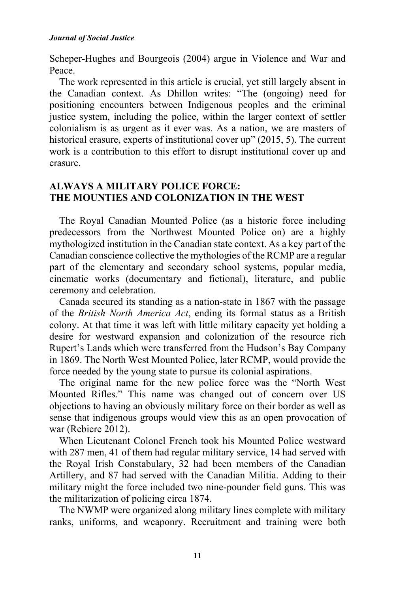Scheper-Hughes and Bourgeois (2004) argue in Violence and War and Peace.

The work represented in this article is crucial, yet still largely absent in the Canadian context. As Dhillon writes: "The (ongoing) need for positioning encounters between Indigenous peoples and the criminal justice system, including the police, within the larger context of settler colonialism is as urgent as it ever was. As a nation, we are masters of historical erasure, experts of institutional cover up" (2015, 5). The current work is a contribution to this effort to disrupt institutional cover up and erasure.

# **ALWAYS A MILITARY POLICE FORCE: THE MOUNTIES AND COLONIZATION IN THE WEST**

The Royal Canadian Mounted Police (as a historic force including predecessors from the Northwest Mounted Police on) are a highly mythologized institution in the Canadian state context. As a key part of the Canadian conscience collective the mythologies of the RCMP are a regular part of the elementary and secondary school systems, popular media, cinematic works (documentary and fictional), literature, and public ceremony and celebration.

Canada secured its standing as a nation-state in 1867 with the passage of the *British North America Act*, ending its formal status as a British colony. At that time it was left with little military capacity yet holding a desire for westward expansion and colonization of the resource rich Rupert's Lands which were transferred from the Hudson's Bay Company in 1869. The North West Mounted Police, later RCMP, would provide the force needed by the young state to pursue its colonial aspirations.

The original name for the new police force was the "North West Mounted Rifles." This name was changed out of concern over US objections to having an obviously military force on their border as well as sense that indigenous groups would view this as an open provocation of war (Rebiere 2012).

When Lieutenant Colonel French took his Mounted Police westward with 287 men, 41 of them had regular military service, 14 had served with the Royal Irish Constabulary, 32 had been members of the Canadian Artillery, and 87 had served with the Canadian Militia. Adding to their military might the force included two nine-pounder field guns. This was the militarization of policing circa 1874.

The NWMP were organized along military lines complete with military ranks, uniforms, and weaponry. Recruitment and training were both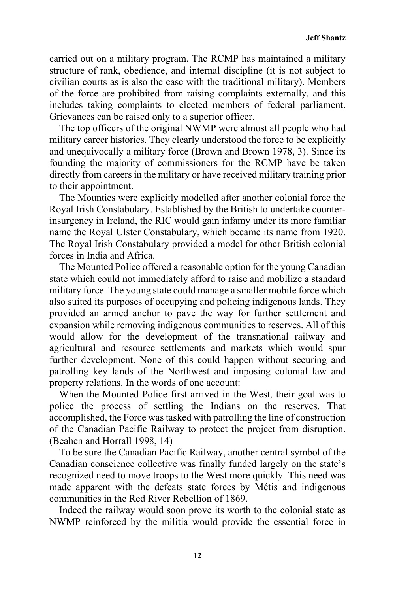carried out on a military program. The RCMP has maintained a military structure of rank, obedience, and internal discipline (it is not subject to civilian courts as is also the case with the traditional military). Members of the force are prohibited from raising complaints externally, and this includes taking complaints to elected members of federal parliament. Grievances can be raised only to a superior officer.

The top officers of the original NWMP were almost all people who had military career histories. They clearly understood the force to be explicitly and unequivocally a military force (Brown and Brown 1978, 3). Since its founding the majority of commissioners for the RCMP have be taken directly from careers in the military or have received military training prior to their appointment.

The Mounties were explicitly modelled after another colonial force the Royal Irish Constabulary. Established by the British to undertake counterinsurgency in Ireland, the RIC would gain infamy under its more familiar name the Royal Ulster Constabulary, which became its name from 1920. The Royal Irish Constabulary provided a model for other British colonial forces in India and Africa.

The Mounted Police offered a reasonable option for the young Canadian state which could not immediately afford to raise and mobilize a standard military force. The young state could manage a smaller mobile force which also suited its purposes of occupying and policing indigenous lands. They provided an armed anchor to pave the way for further settlement and expansion while removing indigenous communities to reserves. All of this would allow for the development of the transnational railway and agricultural and resource settlements and markets which would spur further development. None of this could happen without securing and patrolling key lands of the Northwest and imposing colonial law and property relations. In the words of one account:

When the Mounted Police first arrived in the West, their goal was to police the process of settling the Indians on the reserves. That accomplished, the Force was tasked with patrolling the line of construction of the Canadian Pacific Railway to protect the project from disruption. (Beahen and Horrall 1998, 14)

To be sure the Canadian Pacific Railway, another central symbol of the Canadian conscience collective was finally funded largely on the state's recognized need to move troops to the West more quickly. This need was made apparent with the defeats state forces by Métis and indigenous communities in the Red River Rebellion of 1869.

Indeed the railway would soon prove its worth to the colonial state as NWMP reinforced by the militia would provide the essential force in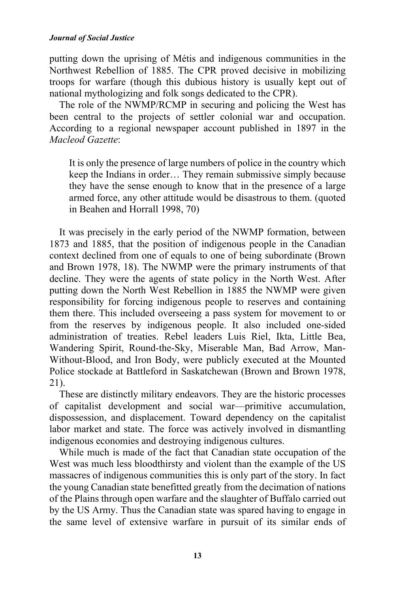putting down the uprising of Métis and indigenous communities in the Northwest Rebellion of 1885. The CPR proved decisive in mobilizing troops for warfare (though this dubious history is usually kept out of national mythologizing and folk songs dedicated to the CPR).

The role of the NWMP/RCMP in securing and policing the West has been central to the projects of settler colonial war and occupation. According to a regional newspaper account published in 1897 in the *Macleod Gazette*:

It is only the presence of large numbers of police in the country which keep the Indians in order… They remain submissive simply because they have the sense enough to know that in the presence of a large armed force, any other attitude would be disastrous to them. (quoted in Beahen and Horrall 1998, 70)

It was precisely in the early period of the NWMP formation, between 1873 and 1885, that the position of indigenous people in the Canadian context declined from one of equals to one of being subordinate (Brown and Brown 1978, 18). The NWMP were the primary instruments of that decline. They were the agents of state policy in the North West. After putting down the North West Rebellion in 1885 the NWMP were given responsibility for forcing indigenous people to reserves and containing them there. This included overseeing a pass system for movement to or from the reserves by indigenous people. It also included one-sided administration of treaties. Rebel leaders Luis Riel, Ikta, Little Bea, Wandering Spirit, Round-the-Sky, Miserable Man, Bad Arrow, Man-Without-Blood, and Iron Body, were publicly executed at the Mounted Police stockade at Battleford in Saskatchewan (Brown and Brown 1978, 21).

These are distinctly military endeavors. They are the historic processes of capitalist development and social war—primitive accumulation, dispossession, and displacement. Toward dependency on the capitalist labor market and state. The force was actively involved in dismantling indigenous economies and destroying indigenous cultures.

While much is made of the fact that Canadian state occupation of the West was much less bloodthirsty and violent than the example of the US massacres of indigenous communities this is only part of the story. In fact the young Canadian state benefitted greatly from the decimation of nations of the Plains through open warfare and the slaughter of Buffalo carried out by the US Army. Thus the Canadian state was spared having to engage in the same level of extensive warfare in pursuit of its similar ends of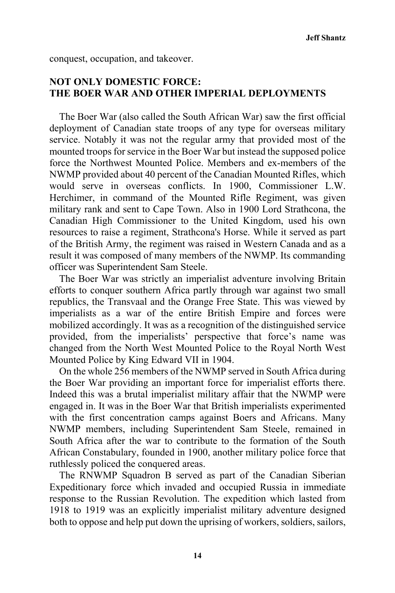conquest, occupation, and takeover.

## **NOT ONLY DOMESTIC FORCE: THE BOER WAR AND OTHER IMPERIAL DEPLOYMENTS**

The Boer War (also called the South African War) saw the first official deployment of Canadian state troops of any type for overseas military service. Notably it was not the regular army that provided most of the mounted troops for service in the Boer War but instead the supposed police force the Northwest Mounted Police. Members and ex-members of the NWMP provided about 40 percent of the Canadian Mounted Rifles, which would serve in overseas conflicts. In 1900, Commissioner L.W. Herchimer, in command of the Mounted Rifle Regiment, was given military rank and sent to Cape Town. Also in 1900 Lord Strathcona, the Canadian High Commissioner to the United Kingdom, used his own resources to raise a regiment, Strathcona's Horse. While it served as part of the British Army, the regiment was raised in Western Canada and as a result it was composed of many members of the NWMP. Its commanding officer was Superintendent Sam Steele.

The Boer War was strictly an imperialist adventure involving Britain efforts to conquer southern Africa partly through war against two small republics, the Transvaal and the Orange Free State. This was viewed by imperialists as a war of the entire British Empire and forces were mobilized accordingly. It was as a recognition of the distinguished service provided, from the imperialists' perspective that force's name was changed from the North West Mounted Police to the Royal North West Mounted Police by King Edward VII in 1904.

On the whole 256 members of the NWMP served in South Africa during the Boer War providing an important force for imperialist efforts there. Indeed this was a brutal imperialist military affair that the NWMP were engaged in. It was in the Boer War that British imperialists experimented with the first concentration camps against Boers and Africans. Many NWMP members, including Superintendent Sam Steele, remained in South Africa after the war to contribute to the formation of the South African Constabulary, founded in 1900, another military police force that ruthlessly policed the conquered areas.

The RNWMP Squadron B served as part of the Canadian Siberian Expeditionary force which invaded and occupied Russia in immediate response to the Russian Revolution. The expedition which lasted from 1918 to 1919 was an explicitly imperialist military adventure designed both to oppose and help put down the uprising of workers, soldiers, sailors,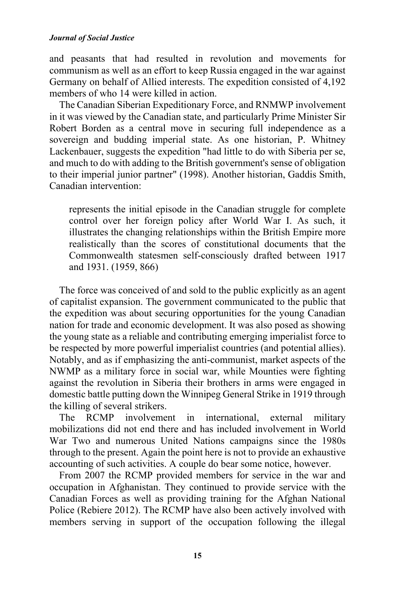and peasants that had resulted in revolution and movements for communism as well as an effort to keep Russia engaged in the war against Germany on behalf of Allied interests. The expedition consisted of 4,192 members of who 14 were killed in action.

The Canadian Siberian Expeditionary Force, and RNMWP involvement in it was viewed by the Canadian state, and particularly Prime Minister Sir Robert Borden as a central move in securing full independence as a sovereign and budding imperial state. As one historian, P. Whitney Lackenbauer, suggests the expedition "had little to do with Siberia per se, and much to do with adding to the British government's sense of obligation to their imperial junior partner" (1998). Another historian, Gaddis Smith, Canadian intervention:

represents the initial episode in the Canadian struggle for complete control over her foreign policy after World War I. As such, it illustrates the changing relationships within the British Empire more realistically than the scores of constitutional documents that the Commonwealth statesmen self-consciously drafted between 1917 and 1931. (1959, 866)

The force was conceived of and sold to the public explicitly as an agent of capitalist expansion. The government communicated to the public that the expedition was about securing opportunities for the young Canadian nation for trade and economic development. It was also posed as showing the young state as a reliable and contributing emerging imperialist force to be respected by more powerful imperialist countries (and potential allies). Notably, and as if emphasizing the anti-communist, market aspects of the NWMP as a military force in social war, while Mounties were fighting against the revolution in Siberia their brothers in arms were engaged in domestic battle putting down the Winnipeg General Strike in 1919 through the killing of several strikers.

The RCMP involvement in international, external military mobilizations did not end there and has included involvement in World War Two and numerous United Nations campaigns since the 1980s through to the present. Again the point here is not to provide an exhaustive accounting of such activities. A couple do bear some notice, however.

From 2007 the RCMP provided members for service in the war and occupation in Afghanistan. They continued to provide service with the Canadian Forces as well as providing training for the Afghan National Police (Rebiere 2012). The RCMP have also been actively involved with members serving in support of the occupation following the illegal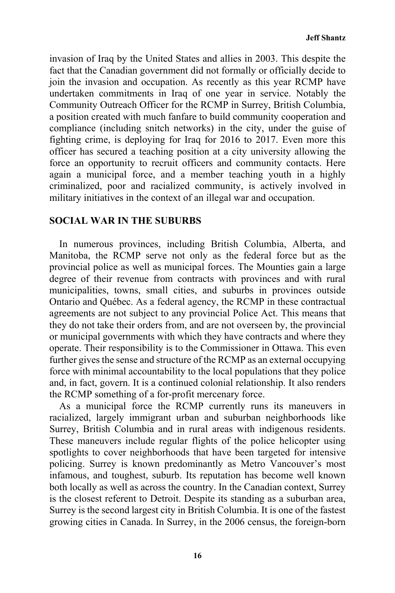invasion of Iraq by the United States and allies in 2003. This despite the fact that the Canadian government did not formally or officially decide to join the invasion and occupation. As recently as this year RCMP have undertaken commitments in Iraq of one year in service. Notably the Community Outreach Officer for the RCMP in Surrey, British Columbia, a position created with much fanfare to build community cooperation and compliance (including snitch networks) in the city, under the guise of fighting crime, is deploying for Iraq for 2016 to 2017. Even more this officer has secured a teaching position at a city university allowing the force an opportunity to recruit officers and community contacts. Here again a municipal force, and a member teaching youth in a highly criminalized, poor and racialized community, is actively involved in military initiatives in the context of an illegal war and occupation.

### **SOCIAL WAR IN THE SUBURBS**

In numerous provinces, including British Columbia, Alberta, and Manitoba, the RCMP serve not only as the federal force but as the provincial police as well as municipal forces. The Mounties gain a large degree of their revenue from contracts with provinces and with rural municipalities, towns, small cities, and suburbs in provinces outside Ontario and Québec. As a federal agency, the RCMP in these contractual agreements are not subject to any provincial Police Act. This means that they do not take their orders from, and are not overseen by, the provincial or municipal governments with which they have contracts and where they operate. Their responsibility is to the Commissioner in Ottawa. This even further gives the sense and structure of the RCMP as an external occupying force with minimal accountability to the local populations that they police and, in fact, govern. It is a continued colonial relationship. It also renders the RCMP something of a for-profit mercenary force.

As a municipal force the RCMP currently runs its maneuvers in racialized, largely immigrant urban and suburban neighborhoods like Surrey, British Columbia and in rural areas with indigenous residents. These maneuvers include regular flights of the police helicopter using spotlights to cover neighborhoods that have been targeted for intensive policing. Surrey is known predominantly as Metro Vancouver's most infamous, and toughest, suburb. Its reputation has become well known both locally as well as across the country. In the Canadian context, Surrey is the closest referent to Detroit. Despite its standing as a suburban area, Surrey is the second largest city in British Columbia. It is one of the fastest growing cities in Canada. In Surrey, in the 2006 census, the foreign-born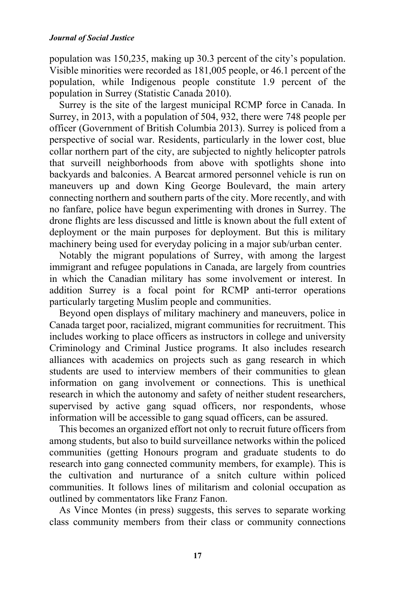population was 150,235, making up 30.3 percent of the city's population. Visible minorities were recorded as 181,005 people, or 46.1 percent of the population, while Indigenous people constitute 1.9 percent of the population in Surrey (Statistic Canada 2010).

Surrey is the site of the largest municipal RCMP force in Canada. In Surrey, in 2013, with a population of 504, 932, there were 748 people per officer (Government of British Columbia 2013). Surrey is policed from a perspective of social war. Residents, particularly in the lower cost, blue collar northern part of the city, are subjected to nightly helicopter patrols that surveill neighborhoods from above with spotlights shone into backyards and balconies. A Bearcat armored personnel vehicle is run on maneuvers up and down King George Boulevard, the main artery connecting northern and southern parts of the city. More recently, and with no fanfare, police have begun experimenting with drones in Surrey. The drone flights are less discussed and little is known about the full extent of deployment or the main purposes for deployment. But this is military machinery being used for everyday policing in a major sub/urban center.

Notably the migrant populations of Surrey, with among the largest immigrant and refugee populations in Canada, are largely from countries in which the Canadian military has some involvement or interest. In addition Surrey is a focal point for RCMP anti-terror operations particularly targeting Muslim people and communities.

Beyond open displays of military machinery and maneuvers, police in Canada target poor, racialized, migrant communities for recruitment. This includes working to place officers as instructors in college and university Criminology and Criminal Justice programs. It also includes research alliances with academics on projects such as gang research in which students are used to interview members of their communities to glean information on gang involvement or connections. This is unethical research in which the autonomy and safety of neither student researchers, supervised by active gang squad officers, nor respondents, whose information will be accessible to gang squad officers, can be assured.

This becomes an organized effort not only to recruit future officers from among students, but also to build surveillance networks within the policed communities (getting Honours program and graduate students to do research into gang connected community members, for example). This is the cultivation and nurturance of a snitch culture within policed communities. It follows lines of militarism and colonial occupation as outlined by commentators like Franz Fanon.

As Vince Montes (in press) suggests, this serves to separate working class community members from their class or community connections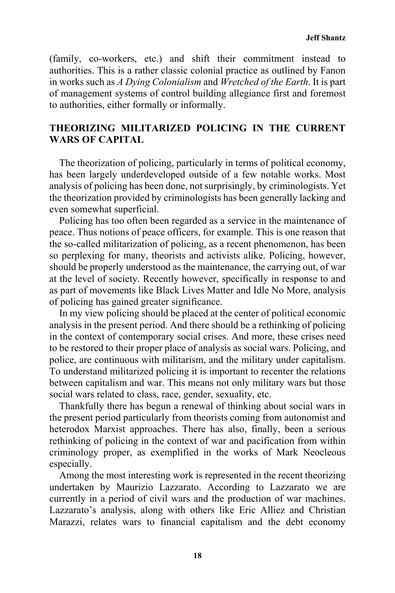(family, co-workers, etc.) and shift their commitment instead to authorities. This is a rather classic colonial practice as outlined by Fanon in works such as *A Dying Colonialism* and *Wretched of the Earth*. It is part of management systems of control building allegiance first and foremost to authorities, either formally or informally.

## **THEORIZING MILITARIZED POLICING IN THE CURRENT WARS OF CAPITAL**

The theorization of policing, particularly in terms of political economy, has been largely underdeveloped outside of a few notable works. Most analysis of policing has been done, not surprisingly, by criminologists. Yet the theorization provided by criminologists has been generally lacking and even somewhat superficial.

Policing has too often been regarded as a service in the maintenance of peace. Thus notions of peace officers, for example. This is one reason that the so-called militarization of policing, as a recent phenomenon, has been so perplexing for many, theorists and activists alike. Policing, however, should be properly understood as the maintenance, the carrying out, of war at the level of society. Recently however, specifically in response to and as part of movements like Black Lives Matter and Idle No More, analysis of policing has gained greater significance.

In my view policing should be placed at the center of political economic analysis in the present period. And there should be a rethinking of policing in the context of contemporary social crises. And more, these crises need to be restored to their proper place of analysis as social wars. Policing, and police, are continuous with militarism, and the military under capitalism. To understand militarized policing it is important to recenter the relations between capitalism and war. This means not only military wars but those social wars related to class, race, gender, sexuality, etc.

Thankfully there has begun a renewal of thinking about social wars in the present period particularly from theorists coming from autonomist and heterodox Marxist approaches. There has also, finally, been a serious rethinking of policing in the context of war and pacification from within criminology proper, as exemplified in the works of Mark Neocleous especially.

Among the most interesting work is represented in the recent theorizing undertaken by Maurizio Lazzarato. According to Lazzarato we are currently in a period of civil wars and the production of war machines. Lazzarato's analysis, along with others like Eric Alliez and Christian Marazzi, relates wars to financial capitalism and the debt economy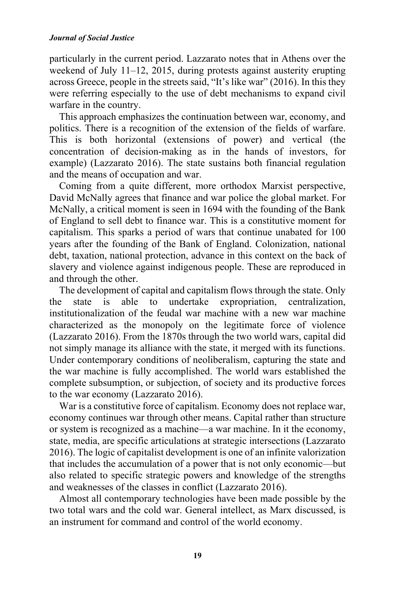particularly in the current period. Lazzarato notes that in Athens over the weekend of July 11–12, 2015, during protests against austerity erupting across Greece, people in the streets said, "It's like war" (2016). In this they were referring especially to the use of debt mechanisms to expand civil warfare in the country.

This approach emphasizes the continuation between war, economy, and politics. There is a recognition of the extension of the fields of warfare. This is both horizontal (extensions of power) and vertical (the concentration of decision-making as in the hands of investors, for example) (Lazzarato 2016). The state sustains both financial regulation and the means of occupation and war.

Coming from a quite different, more orthodox Marxist perspective, David McNally agrees that finance and war police the global market. For McNally, a critical moment is seen in 1694 with the founding of the Bank of England to sell debt to finance war. This is a constitutive moment for capitalism. This sparks a period of wars that continue unabated for 100 years after the founding of the Bank of England. Colonization, national debt, taxation, national protection, advance in this context on the back of slavery and violence against indigenous people. These are reproduced in and through the other.

The development of capital and capitalism flows through the state. Only the state is able to undertake expropriation, centralization, institutionalization of the feudal war machine with a new war machine characterized as the monopoly on the legitimate force of violence (Lazzarato 2016). From the 1870s through the two world wars, capital did not simply manage its alliance with the state, it merged with its functions. Under contemporary conditions of neoliberalism, capturing the state and the war machine is fully accomplished. The world wars established the complete subsumption, or subjection, of society and its productive forces to the war economy (Lazzarato 2016).

War is a constitutive force of capitalism. Economy does not replace war, economy continues war through other means. Capital rather than structure or system is recognized as a machine—a war machine. In it the economy, state, media, are specific articulations at strategic intersections (Lazzarato 2016). The logic of capitalist development is one of an infinite valorization that includes the accumulation of a power that is not only economic—but also related to specific strategic powers and knowledge of the strengths and weaknesses of the classes in conflict (Lazzarato 2016).

Almost all contemporary technologies have been made possible by the two total wars and the cold war. General intellect, as Marx discussed, is an instrument for command and control of the world economy.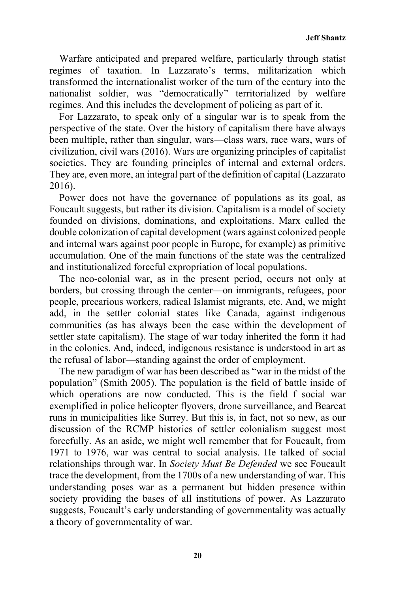Warfare anticipated and prepared welfare, particularly through statist regimes of taxation. In Lazzarato's terms, militarization which transformed the internationalist worker of the turn of the century into the nationalist soldier, was "democratically" territorialized by welfare regimes. And this includes the development of policing as part of it.

For Lazzarato, to speak only of a singular war is to speak from the perspective of the state. Over the history of capitalism there have always been multiple, rather than singular, wars—class wars, race wars, wars of civilization, civil wars (2016). Wars are organizing principles of capitalist societies. They are founding principles of internal and external orders. They are, even more, an integral part of the definition of capital (Lazzarato 2016).

Power does not have the governance of populations as its goal, as Foucault suggests, but rather its division. Capitalism is a model of society founded on divisions, dominations, and exploitations. Marx called the double colonization of capital development (wars against colonized people and internal wars against poor people in Europe, for example) as primitive accumulation. One of the main functions of the state was the centralized and institutionalized forceful expropriation of local populations.

The neo-colonial war, as in the present period, occurs not only at borders, but crossing through the center—on immigrants, refugees, poor people, precarious workers, radical Islamist migrants, etc. And, we might add, in the settler colonial states like Canada, against indigenous communities (as has always been the case within the development of settler state capitalism). The stage of war today inherited the form it had in the colonies. And, indeed, indigenous resistance is understood in art as the refusal of labor—standing against the order of employment.

The new paradigm of war has been described as "war in the midst of the population" (Smith 2005). The population is the field of battle inside of which operations are now conducted. This is the field f social war exemplified in police helicopter flyovers, drone surveillance, and Bearcat runs in municipalities like Surrey. But this is, in fact, not so new, as our discussion of the RCMP histories of settler colonialism suggest most forcefully. As an aside, we might well remember that for Foucault, from 1971 to 1976, war was central to social analysis. He talked of social relationships through war. In *Society Must Be Defended* we see Foucault trace the development, from the 1700s of a new understanding of war. This understanding poses war as a permanent but hidden presence within society providing the bases of all institutions of power. As Lazzarato suggests, Foucault's early understanding of governmentality was actually a theory of governmentality of war.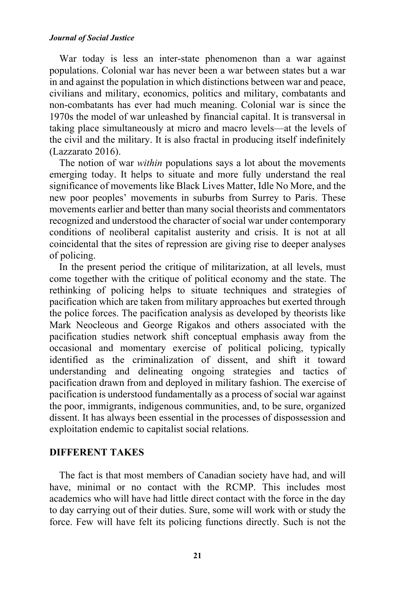War today is less an inter-state phenomenon than a war against populations. Colonial war has never been a war between states but a war in and against the population in which distinctions between war and peace, civilians and military, economics, politics and military, combatants and non-combatants has ever had much meaning. Colonial war is since the 1970s the model of war unleashed by financial capital. It is transversal in taking place simultaneously at micro and macro levels—at the levels of the civil and the military. It is also fractal in producing itself indefinitely (Lazzarato 2016).

The notion of war *within* populations says a lot about the movements emerging today. It helps to situate and more fully understand the real significance of movements like Black Lives Matter, Idle No More, and the new poor peoples' movements in suburbs from Surrey to Paris. These movements earlier and better than many social theorists and commentators recognized and understood the character of social war under contemporary conditions of neoliberal capitalist austerity and crisis. It is not at all coincidental that the sites of repression are giving rise to deeper analyses of policing.

In the present period the critique of militarization, at all levels, must come together with the critique of political economy and the state. The rethinking of policing helps to situate techniques and strategies of pacification which are taken from military approaches but exerted through the police forces. The pacification analysis as developed by theorists like Mark Neocleous and George Rigakos and others associated with the pacification studies network shift conceptual emphasis away from the occasional and momentary exercise of political policing, typically identified as the criminalization of dissent, and shift it toward understanding and delineating ongoing strategies and tactics of pacification drawn from and deployed in military fashion. The exercise of pacification is understood fundamentally as a process of social war against the poor, immigrants, indigenous communities, and, to be sure, organized dissent. It has always been essential in the processes of dispossession and exploitation endemic to capitalist social relations.

### **DIFFERENT TAKES**

The fact is that most members of Canadian society have had, and will have, minimal or no contact with the RCMP. This includes most academics who will have had little direct contact with the force in the day to day carrying out of their duties. Sure, some will work with or study the force. Few will have felt its policing functions directly. Such is not the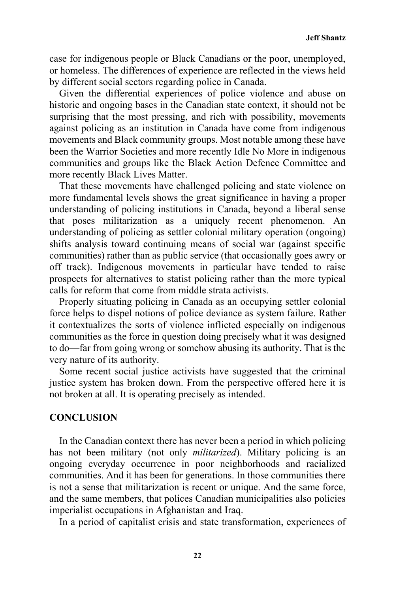**Jeff Shantz** 

case for indigenous people or Black Canadians or the poor, unemployed, or homeless. The differences of experience are reflected in the views held by different social sectors regarding police in Canada.

Given the differential experiences of police violence and abuse on historic and ongoing bases in the Canadian state context, it should not be surprising that the most pressing, and rich with possibility, movements against policing as an institution in Canada have come from indigenous movements and Black community groups. Most notable among these have been the Warrior Societies and more recently Idle No More in indigenous communities and groups like the Black Action Defence Committee and more recently Black Lives Matter.

That these movements have challenged policing and state violence on more fundamental levels shows the great significance in having a proper understanding of policing institutions in Canada, beyond a liberal sense that poses militarization as a uniquely recent phenomenon. An understanding of policing as settler colonial military operation (ongoing) shifts analysis toward continuing means of social war (against specific communities) rather than as public service (that occasionally goes awry or off track). Indigenous movements in particular have tended to raise prospects for alternatives to statist policing rather than the more typical calls for reform that come from middle strata activists.

Properly situating policing in Canada as an occupying settler colonial force helps to dispel notions of police deviance as system failure. Rather it contextualizes the sorts of violence inflicted especially on indigenous communities as the force in question doing precisely what it was designed to do—far from going wrong or somehow abusing its authority. That is the very nature of its authority.

Some recent social justice activists have suggested that the criminal justice system has broken down. From the perspective offered here it is not broken at all. It is operating precisely as intended.

### **CONCLUSION**

In the Canadian context there has never been a period in which policing has not been military (not only *militarized*). Military policing is an ongoing everyday occurrence in poor neighborhoods and racialized communities. And it has been for generations. In those communities there is not a sense that militarization is recent or unique. And the same force, and the same members, that polices Canadian municipalities also policies imperialist occupations in Afghanistan and Iraq.

In a period of capitalist crisis and state transformation, experiences of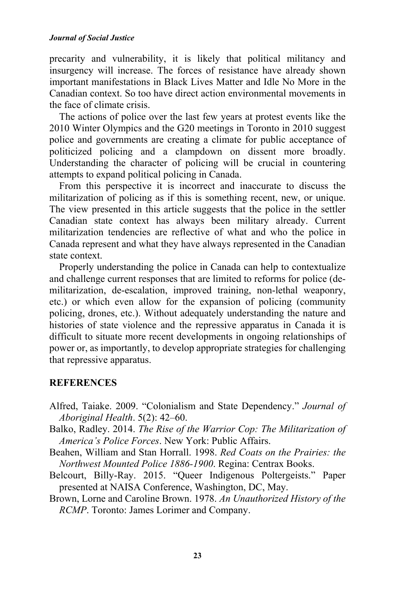precarity and vulnerability, it is likely that political militancy and insurgency will increase. The forces of resistance have already shown important manifestations in Black Lives Matter and Idle No More in the Canadian context. So too have direct action environmental movements in the face of climate crisis.

The actions of police over the last few years at protest events like the 2010 Winter Olympics and the G20 meetings in Toronto in 2010 suggest police and governments are creating a climate for public acceptance of politicized policing and a clampdown on dissent more broadly. Understanding the character of policing will be crucial in countering attempts to expand political policing in Canada.

From this perspective it is incorrect and inaccurate to discuss the militarization of policing as if this is something recent, new, or unique. The view presented in this article suggests that the police in the settler Canadian state context has always been military already. Current militarization tendencies are reflective of what and who the police in Canada represent and what they have always represented in the Canadian state context.

Properly understanding the police in Canada can help to contextualize and challenge current responses that are limited to reforms for police (demilitarization, de-escalation, improved training, non-lethal weaponry, etc.) or which even allow for the expansion of policing (community policing, drones, etc.). Without adequately understanding the nature and histories of state violence and the repressive apparatus in Canada it is difficult to situate more recent developments in ongoing relationships of power or, as importantly, to develop appropriate strategies for challenging that repressive apparatus.

### **REFERENCES**

- Alfred, Taiake. 2009. "Colonialism and State Dependency." *Journal of Aboriginal Health*. 5(2): 42–60.
- Balko, Radley. 2014. *The Rise of the Warrior Cop: The Militarization of America's Police Forces*. New York: Public Affairs.
- Beahen, William and Stan Horrall. 1998. *Red Coats on the Prairies: the Northwest Mounted Police 1886-1900*. Regina: Centrax Books.
- Belcourt, Billy-Ray. 2015. "Queer Indigenous Poltergeists." Paper presented at NAISA Conference, Washington, DC, May.
- Brown, Lorne and Caroline Brown. 1978. *An Unauthorized History of the RCMP*. Toronto: James Lorimer and Company.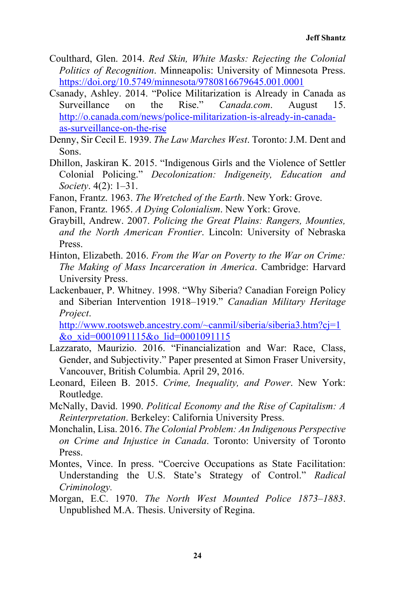- Coulthard, Glen. 2014. *Red Skin, White Masks: Rejecting the Colonial Politics of Recognition*. Minneapolis: University of Minnesota Press. https://doi.org/10.5749/minnesota/9780816679645.001.0001
- Csanady, Ashley. 2014. "Police Militarization is Already in Canada as Surveillance on the Rise." *Canada.com*. August 15. http://o.canada.com/news/police-militarization-is-already-in-canadaas-surveillance-on-the-rise
- Denny, Sir Cecil E. 1939. *The Law Marches West*. Toronto: J.M. Dent and Sons.
- Dhillon, Jaskiran K. 2015. "Indigenous Girls and the Violence of Settler Colonial Policing." *Decolonization: Indigeneity, Education and Society*. 4(2): 1–31.
- Fanon, Frantz. 1963. *The Wretched of the Earth*. New York: Grove.
- Fanon, Frantz. 1965. *A Dying Colonialism*. New York: Grove.
- Graybill, Andrew. 2007. *Policing the Great Plains: Rangers, Mounties, and the North American Frontier*. Lincoln: University of Nebraska **Press**.
- Hinton, Elizabeth. 2016. *From the War on Poverty to the War on Crime: The Making of Mass Incarceration in America*. Cambridge: Harvard University Press.
- Lackenbauer, P. Whitney. 1998. "Why Siberia? Canadian Foreign Policy and Siberian Intervention 1918–1919." *Canadian Military Heritage Project*.

http://www.rootsweb.ancestry.com/~canmil/siberia/siberia3.htm?cj=1 &o\_xid=0001091115&o\_lid=0001091115

- Lazzarato, Maurizio. 2016. "Financialization and War: Race, Class, Gender, and Subjectivity." Paper presented at Simon Fraser University, Vancouver, British Columbia. April 29, 2016.
- Leonard, Eileen B. 2015. *Crime, Inequality, and Power*. New York: Routledge.
- McNally, David. 1990. *Political Economy and the Rise of Capitalism: A Reinterpretation*. Berkeley: California University Press.
- Monchalin, Lisa. 2016. *The Colonial Problem: An Indigenous Perspective on Crime and Injustice in Canada*. Toronto: University of Toronto **Press**.
- Montes, Vince. In press. "Coercive Occupations as State Facilitation: Understanding the U.S. State's Strategy of Control." *Radical Criminology.*
- Morgan, E.C. 1970. *The North West Mounted Police 1873–1883*. Unpublished M.A. Thesis. University of Regina.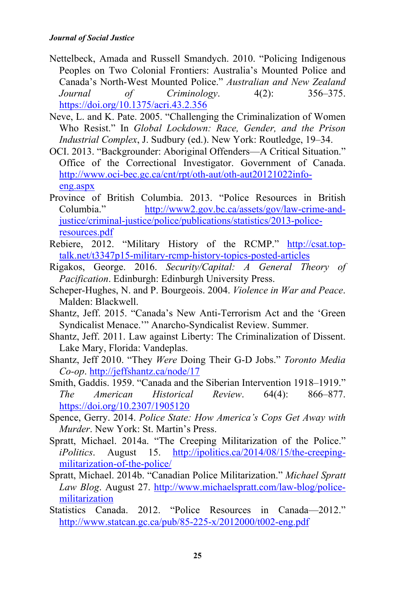- Nettelbeck, Amada and Russell Smandych. 2010. "Policing Indigenous Peoples on Two Colonial Frontiers: Australia's Mounted Police and Canada's North-West Mounted Police." *Australian and New Zealand Journal of Criminology*. 4(2): 356–375. https://doi.org/10.1375/acri.43.2.356
- Neve, L. and K. Pate. 2005. "Challenging the Criminalization of Women Who Resist." In *Global Lockdown: Race, Gender, and the Prison Industrial Complex*, J. Sudbury (ed.). New York: Routledge, 19–34.
- OCI. 2013. "Backgrounder: Aboriginal Offenders—A Critical Situation." Office of the Correctional Investigator. Government of Canada. http://www.oci-bec.gc.ca/cnt/rpt/oth-aut/oth-aut20121022infoeng.aspx
- Province of British Columbia. 2013. "Police Resources in British Columbia." http://www2.gov.bc.ca/assets/gov/law-crime-andjustice/criminal-justice/police/publications/statistics/2013-policeresources.pdf
- Rebiere, 2012. "Military History of the RCMP." http://csat.toptalk.net/t3347p15-military-rcmp-history-topics-posted-articles
- Rigakos, George. 2016. *Security/Capital: A General Theory of Pacification*. Edinburgh: Edinburgh University Press.
- Scheper-Hughes, N. and P. Bourgeois. 2004. *Violence in War and Peace*. Malden: Blackwell.
- Shantz, Jeff. 2015. "Canada's New Anti-Terrorism Act and the 'Green Syndicalist Menace.'" Anarcho-Syndicalist Review. Summer.
- Shantz, Jeff. 2011. Law against Liberty: The Criminalization of Dissent. Lake Mary, Florida: Vandeplas.
- Shantz, Jeff 2010. "They *Were* Doing Their G-D Jobs." *Toronto Media Co-op*. http://jeffshantz.ca/node/17
- Smith, Gaddis. 1959. "Canada and the Siberian Intervention 1918–1919." *The American Historical Review*. 64(4): 866–877. https://doi.org/10.2307/1905120
- Spence, Gerry. 2014. *Police State: How America's Cops Get Away with Murder*. New York: St. Martin's Press.
- Spratt, Michael. 2014a. "The Creeping Militarization of the Police." *iPolitics*. August 15. http://ipolitics.ca/2014/08/15/the-creepingmilitarization-of-the-police/
- Spratt, Michael. 2014b. "Canadian Police Militarization." *Michael Spratt Law Blog*. August 27. http://www.michaelspratt.com/law-blog/policemilitarization
- Statistics Canada. 2012. "Police Resources in Canada—2012." http://www.statcan.gc.ca/pub/85-225-x/2012000/t002-eng.pdf